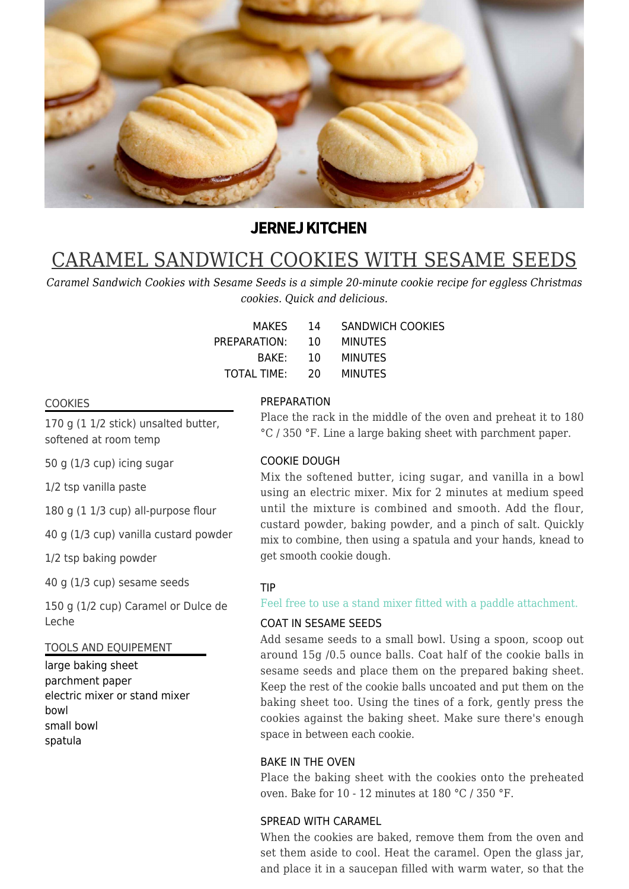

## **JERNEJ KITCHEN**

# CARAMEL SANDWICH COOKIES WITH SESAME SEEDS

*Caramel Sandwich Cookies with Sesame Seeds is a simple 20-minute cookie recipe for eggless Christmas cookies. Quick and delicious.*

| MAKES.         | 14 | <b>SANDWICH COOKIES</b> |
|----------------|----|-------------------------|
| PREPARATION:   | 10 | <b>MINUTES</b>          |
| BAKF:          | 10 | <b>MINUTES</b>          |
| TOTAL TIME: 20 |    | <b>MINUTES</b>          |

#### **COOKIES**

170 g (1 1/2 stick) unsalted butter, softened at room temp

50 g (1/3 cup) icing sugar

1/2 tsp vanilla paste

180 g (1 1/3 cup) all-purpose flour

40 g (1/3 cup) vanilla custard powder

1/2 tsp baking powder

40 g (1/3 cup) sesame seeds

150 g (1/2 cup) Caramel or Dulce de Leche

#### TOOLS AND EQUIPEMENT

large baking sheet parchment paper electric mixer or stand mixer bowl small bowl spatula

#### PREPARATION

Place the rack in the middle of the oven and preheat it to 180 °C / 350 °F. Line a large baking sheet with parchment paper.

### COOKIE DOUGH

Mix the softened butter, icing sugar, and vanilla in a bowl using an electric mixer. Mix for 2 minutes at medium speed until the mixture is combined and smooth. Add the flour, custard powder, baking powder, and a pinch of salt. Quickly mix to combine, then using a spatula and your hands, knead to get smooth cookie dough.

#### TIP

#### Feel free to use a stand mixer fitted with a paddle attachment.

#### COAT IN SESAME SEEDS

Add sesame seeds to a small bowl. Using a spoon, scoop out around 15g /0.5 ounce balls. Coat half of the cookie balls in sesame seeds and place them on the prepared baking sheet. Keep the rest of the cookie balls uncoated and put them on the baking sheet too. Using the tines of a fork, gently press the cookies against the baking sheet. Make sure there's enough space in between each cookie.

#### BAKE IN THE OVEN

Place the baking sheet with the cookies onto the preheated oven. Bake for 10 - 12 minutes at 180 °C / 350 °F.

#### SPREAD WITH CARAMEL

When the cookies are baked, remove them from the oven and set them aside to cool. Heat the caramel. Open the glass jar, and place it in a saucepan filled with warm water, so that the